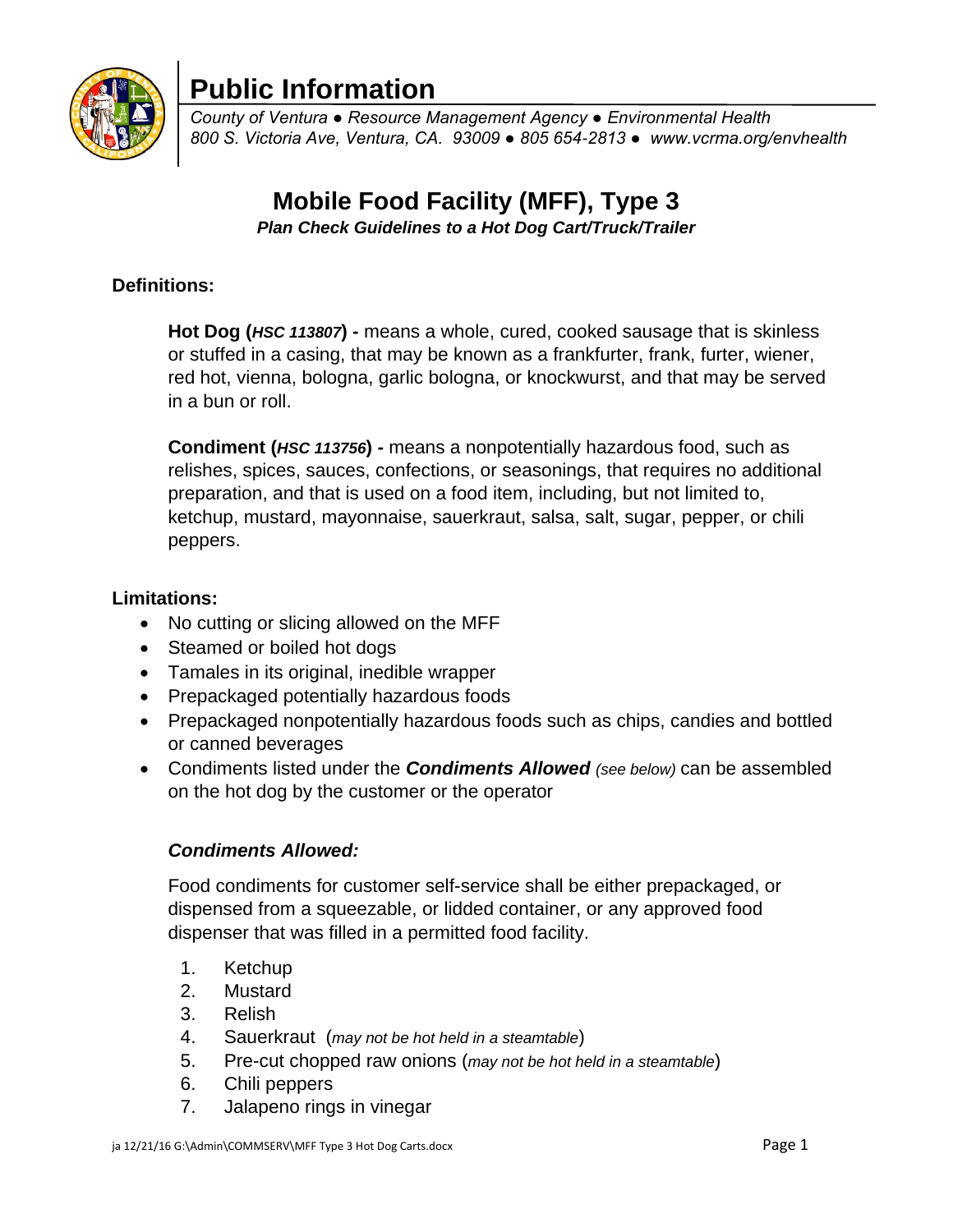

# **Public Information**

*County of Ventura ● Resource Management Agency ● Environmental Health 800 S. Victoria Ave, Ventura, CA. 93009 ● 805 654-2813 ● www.vcrma.org/envhealth*

## **Mobile Food Facility (MFF), Type 3**

*Plan Check Guidelines to a Hot Dog Cart/Truck/Trailer*

### **Definitions:**

**Hot Dog (***HSC 113807***) -** means a whole, cured, cooked sausage that is skinless or stuffed in a casing, that may be known as a frankfurter, frank, furter, wiener, red hot, vienna, bologna, garlic bologna, or knockwurst, and that may be served in a bun or roll.

**Condiment (***HSC 113756***) -** means a nonpotentially hazardous food, such as relishes, spices, sauces, confections, or seasonings, that requires no additional preparation, and that is used on a food item, including, but not limited to, ketchup, mustard, mayonnaise, sauerkraut, salsa, salt, sugar, pepper, or chili peppers.

#### **Limitations:**

- No cutting or slicing allowed on the MFF
- Steamed or boiled hot dogs
- Tamales in its original, inedible wrapper
- Prepackaged potentially hazardous foods
- Prepackaged nonpotentially hazardous foods such as chips, candies and bottled or canned beverages
- Condiments listed under the *Condiments Allowed (see below)* can be assembled on the hot dog by the customer or the operator

## *Condiments Allowed:*

Food condiments for customer self-service shall be either prepackaged, or dispensed from a squeezable, or lidded container, or any approved food dispenser that was filled in a permitted food facility.

- 1. Ketchup
- 2. Mustard
- 3. Relish
- 4. Sauerkraut (*may not be hot held in a steamtable*)
- 5. Pre-cut chopped raw onions (*may not be hot held in a steamtable*)
- 6. Chili peppers
- 7. Jalapeno rings in vinegar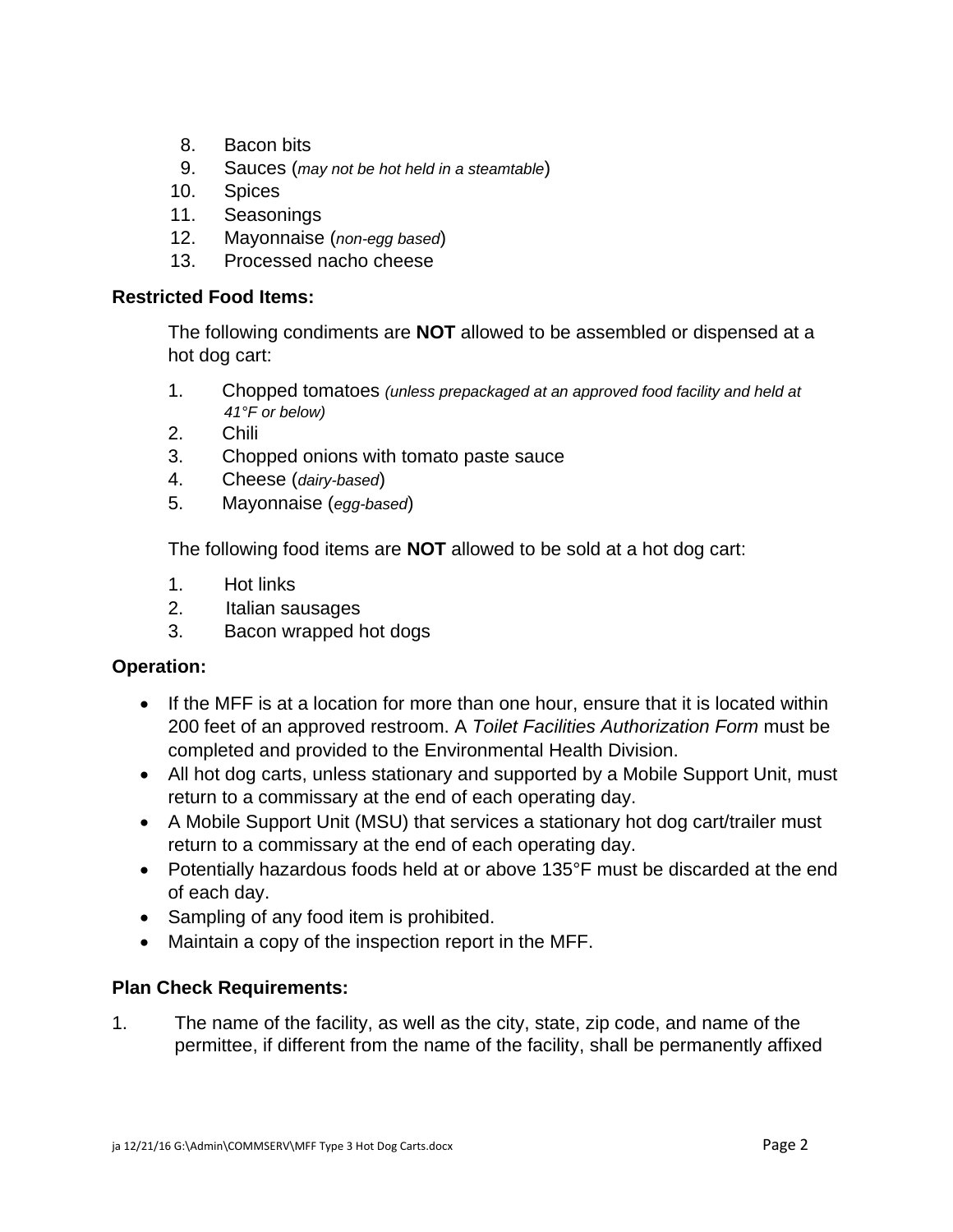- 8. Bacon bits
- 9. Sauces (*may not be hot held in a steamtable*)
- 10. Spices
- 11. Seasonings
- 12. Mayonnaise (*non-egg based*)
- 13. Processed nacho cheese

#### **Restricted Food Items:**

The following condiments are **NOT** allowed to be assembled or dispensed at a hot dog cart:

- 1. Chopped tomatoes *(unless prepackaged at an approved food facility and held at 41°F or below)*
- 2. Chili
- 3. Chopped onions with tomato paste sauce
- 4. Cheese (*dairy-based*)
- 5. Mayonnaise (*egg-based*)

The following food items are **NOT** allowed to be sold at a hot dog cart:

- 1. Hot links
- 2. Italian sausages
- 3. Bacon wrapped hot dogs

#### **Operation:**

- If the MFF is at a location for more than one hour, ensure that it is located within 200 feet of an approved restroom. A *Toilet Facilities Authorization Form* must be completed and provided to the Environmental Health Division.
- All hot dog carts, unless stationary and supported by a Mobile Support Unit, must return to a commissary at the end of each operating day.
- A Mobile Support Unit (MSU) that services a stationary hot dog cart/trailer must return to a commissary at the end of each operating day.
- Potentially hazardous foods held at or above 135°F must be discarded at the end of each day.
- Sampling of any food item is prohibited.
- Maintain a copy of the inspection report in the MFF.

#### **Plan Check Requirements:**

1. The name of the facility, as well as the city, state, zip code, and name of the permittee, if different from the name of the facility, shall be permanently affixed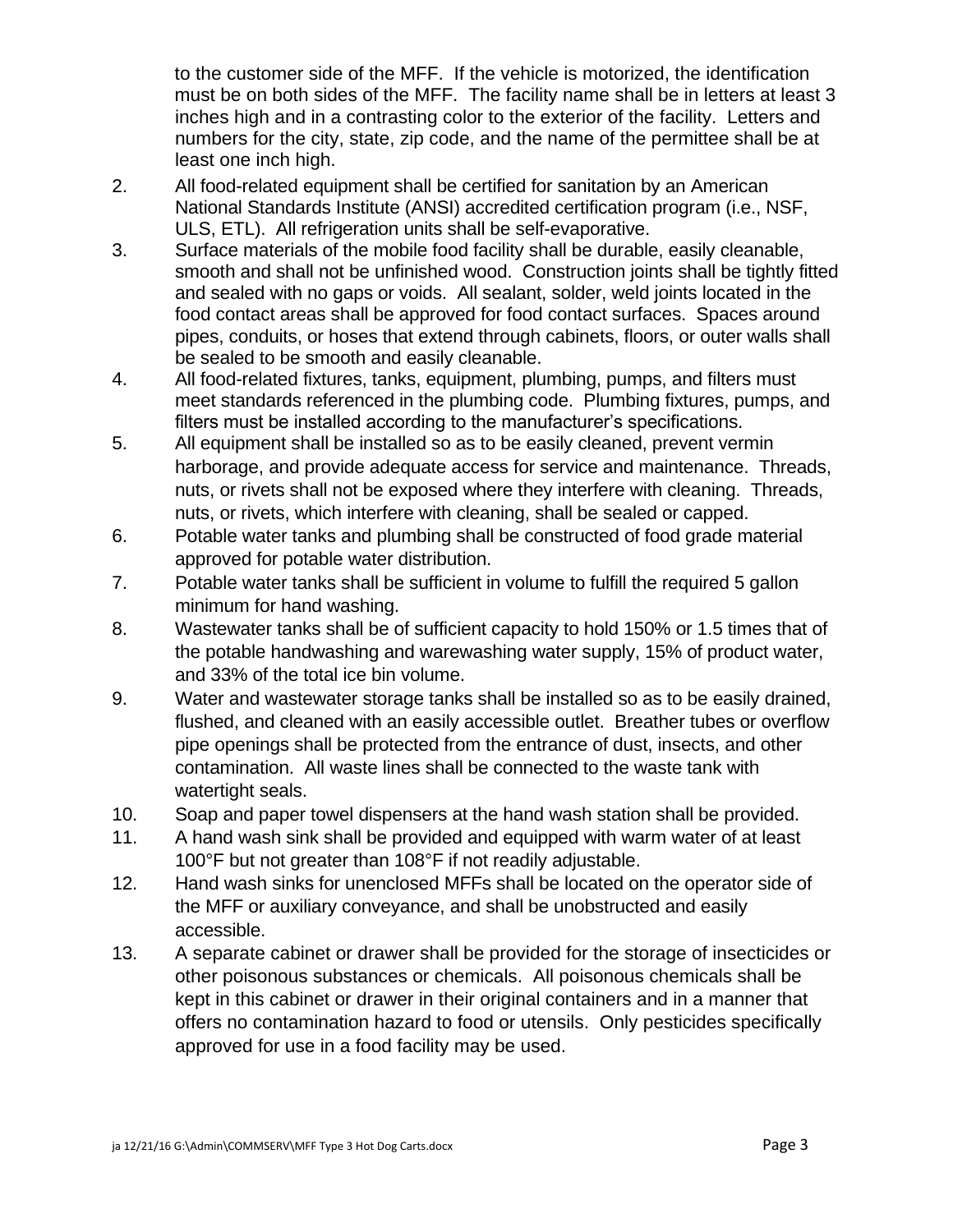to the customer side of the MFF. If the vehicle is motorized, the identification must be on both sides of the MFF. The facility name shall be in letters at least 3 inches high and in a contrasting color to the exterior of the facility. Letters and numbers for the city, state, zip code, and the name of the permittee shall be at least one inch high.

- 2. All food-related equipment shall be certified for sanitation by an American National Standards Institute (ANSI) accredited certification program (i.e., NSF, ULS, ETL). All refrigeration units shall be self-evaporative.
- 3. Surface materials of the mobile food facility shall be durable, easily cleanable, smooth and shall not be unfinished wood. Construction joints shall be tightly fitted and sealed with no gaps or voids. All sealant, solder, weld joints located in the food contact areas shall be approved for food contact surfaces. Spaces around pipes, conduits, or hoses that extend through cabinets, floors, or outer walls shall be sealed to be smooth and easily cleanable.
- 4. All food-related fixtures, tanks, equipment, plumbing, pumps, and filters must meet standards referenced in the plumbing code. Plumbing fixtures, pumps, and filters must be installed according to the manufacturer's specifications.
- 5. All equipment shall be installed so as to be easily cleaned, prevent vermin harborage, and provide adequate access for service and maintenance. Threads, nuts, or rivets shall not be exposed where they interfere with cleaning. Threads, nuts, or rivets, which interfere with cleaning, shall be sealed or capped.
- 6. Potable water tanks and plumbing shall be constructed of food grade material approved for potable water distribution.
- 7. Potable water tanks shall be sufficient in volume to fulfill the required 5 gallon minimum for hand washing.
- 8. Wastewater tanks shall be of sufficient capacity to hold 150% or 1.5 times that of the potable handwashing and warewashing water supply, 15% of product water, and 33% of the total ice bin volume.
- 9. Water and wastewater storage tanks shall be installed so as to be easily drained, flushed, and cleaned with an easily accessible outlet. Breather tubes or overflow pipe openings shall be protected from the entrance of dust, insects, and other contamination. All waste lines shall be connected to the waste tank with watertight seals.
- 10. Soap and paper towel dispensers at the hand wash station shall be provided.
- 11. A hand wash sink shall be provided and equipped with warm water of at least 100°F but not greater than 108°F if not readily adjustable.
- 12. Hand wash sinks for unenclosed MFFs shall be located on the operator side of the MFF or auxiliary conveyance, and shall be unobstructed and easily accessible.
- 13. A separate cabinet or drawer shall be provided for the storage of insecticides or other poisonous substances or chemicals. All poisonous chemicals shall be kept in this cabinet or drawer in their original containers and in a manner that offers no contamination hazard to food or utensils. Only pesticides specifically approved for use in a food facility may be used.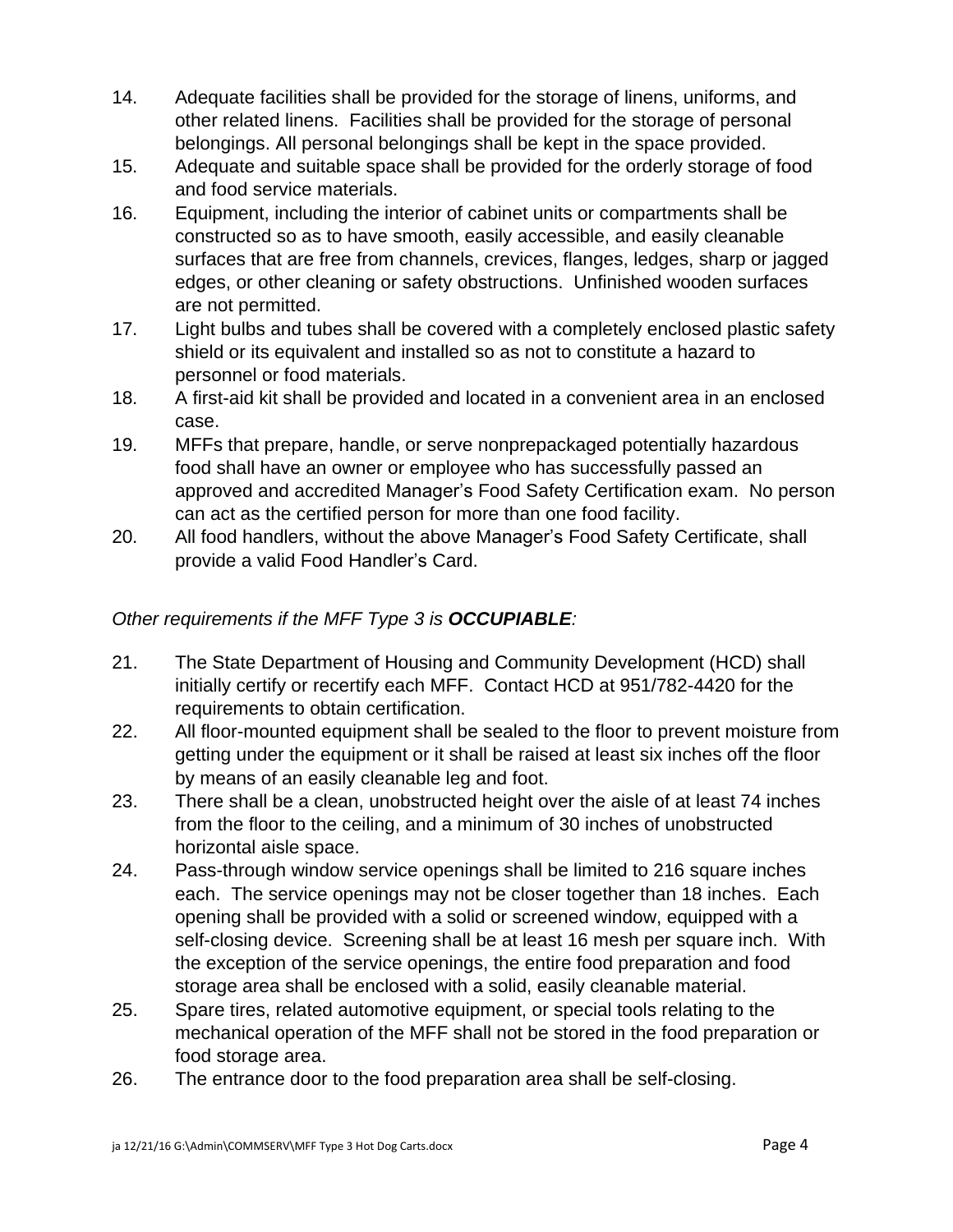- 14. Adequate facilities shall be provided for the storage of linens, uniforms, and other related linens. Facilities shall be provided for the storage of personal belongings. All personal belongings shall be kept in the space provided.
- 15. Adequate and suitable space shall be provided for the orderly storage of food and food service materials.
- 16. Equipment, including the interior of cabinet units or compartments shall be constructed so as to have smooth, easily accessible, and easily cleanable surfaces that are free from channels, crevices, flanges, ledges, sharp or jagged edges, or other cleaning or safety obstructions. Unfinished wooden surfaces are not permitted.
- 17. Light bulbs and tubes shall be covered with a completely enclosed plastic safety shield or its equivalent and installed so as not to constitute a hazard to personnel or food materials.
- 18. A first-aid kit shall be provided and located in a convenient area in an enclosed case.
- 19. MFFs that prepare, handle, or serve nonprepackaged potentially hazardous food shall have an owner or employee who has successfully passed an approved and accredited Manager's Food Safety Certification exam. No person can act as the certified person for more than one food facility.
- 20. All food handlers, without the above Manager's Food Safety Certificate, shall provide a valid Food Handler's Card.

## *Other requirements if the MFF Type 3 is OCCUPIABLE:*

- 21. The State Department of Housing and Community Development (HCD) shall initially certify or recertify each MFF. Contact HCD at 951/782-4420 for the requirements to obtain certification.
- 22. All floor-mounted equipment shall be sealed to the floor to prevent moisture from getting under the equipment or it shall be raised at least six inches off the floor by means of an easily cleanable leg and foot.
- 23. There shall be a clean, unobstructed height over the aisle of at least 74 inches from the floor to the ceiling, and a minimum of 30 inches of unobstructed horizontal aisle space.
- 24. Pass-through window service openings shall be limited to 216 square inches each. The service openings may not be closer together than 18 inches. Each opening shall be provided with a solid or screened window, equipped with a self-closing device. Screening shall be at least 16 mesh per square inch. With the exception of the service openings, the entire food preparation and food storage area shall be enclosed with a solid, easily cleanable material.
- 25. Spare tires, related automotive equipment, or special tools relating to the mechanical operation of the MFF shall not be stored in the food preparation or food storage area.
- 26. The entrance door to the food preparation area shall be self-closing.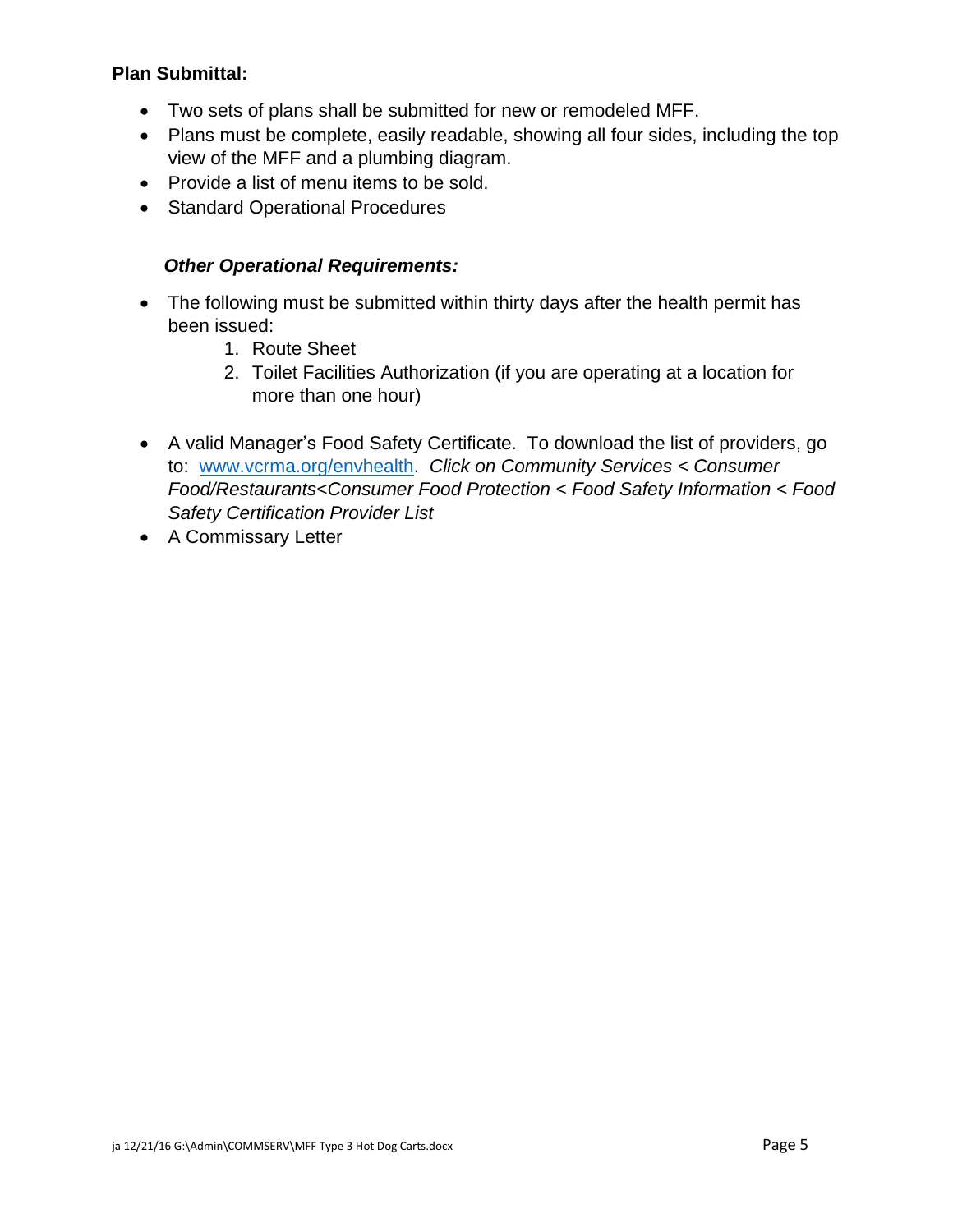#### **Plan Submittal:**

- Two sets of plans shall be submitted for new or remodeled MFF.
- Plans must be complete, easily readable, showing all four sides, including the top view of the MFF and a plumbing diagram.
- Provide a list of menu items to be sold.
- Standard Operational Procedures

#### *Other Operational Requirements:*

- The following must be submitted within thirty days after the health permit has been issued:
	- 1. Route Sheet
	- 2. Toilet Facilities Authorization (if you are operating at a location for more than one hour)
- A valid Manager's Food Safety Certificate. To download the list of providers, go to: [www.vcrma.org/envhealth.](http://www.vcrma.org/envhealth) *Click on Community Services < Consumer Food/Restaurants<Consumer Food Protection < Food Safety Information < Food Safety Certification Provider List*
- A Commissary Letter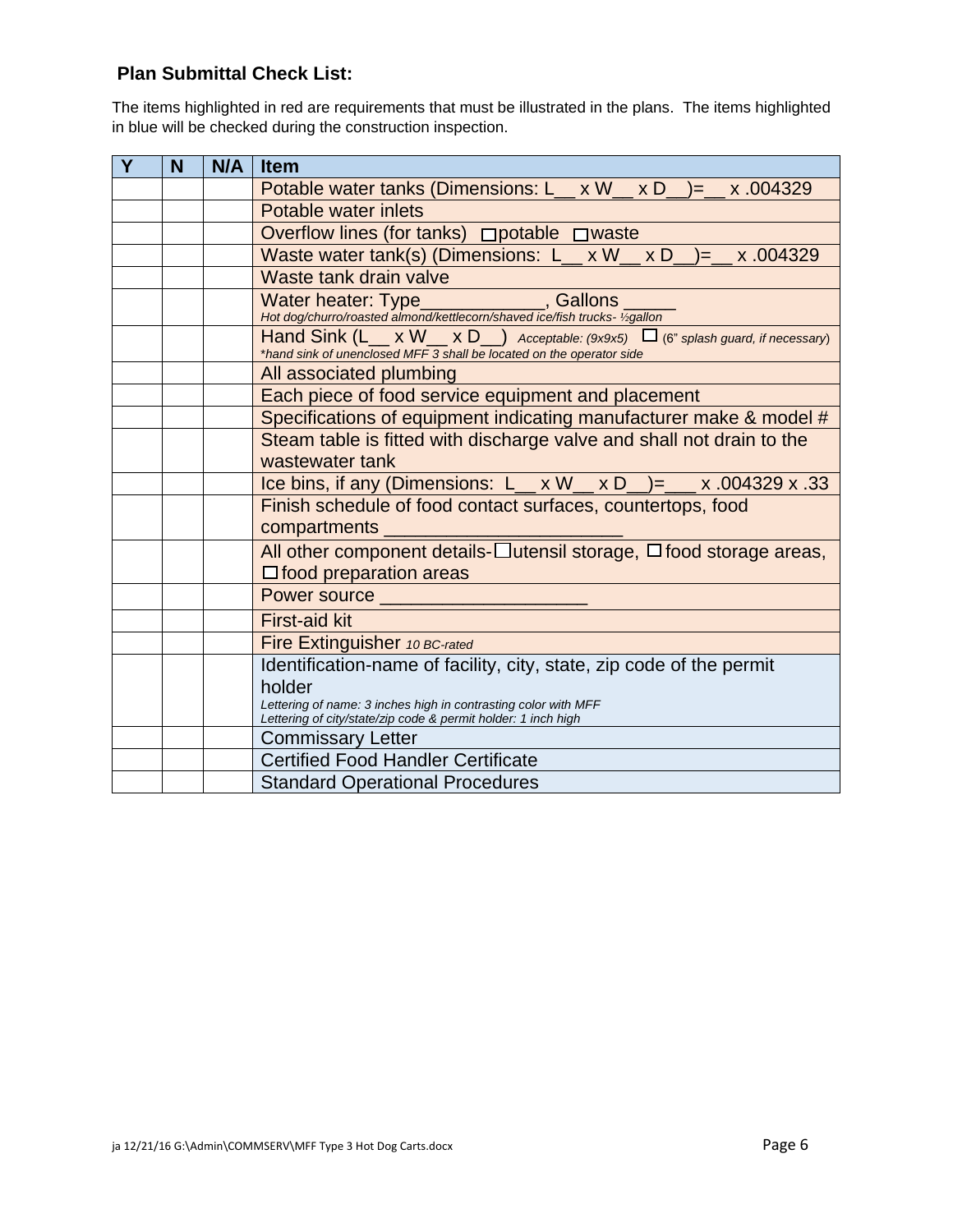### **Plan Submittal Check List:**

The items highlighted in red are requirements that must be illustrated in the plans. The items highlighted in blue will be checked during the construction inspection.

| Y | N | N/A | <b>Item</b>                                                                                                                                                    |
|---|---|-----|----------------------------------------------------------------------------------------------------------------------------------------------------------------|
|   |   |     | Potable water tanks (Dimensions: L x W x D<br>$= 0.004329$                                                                                                     |
|   |   |     | Potable water inlets                                                                                                                                           |
|   |   |     | Overflow lines (for tanks) $\Box$ potable $\Box$ waste                                                                                                         |
|   |   |     | Waste water tank(s) (Dimensions: L_xW_xD<br>x.004329                                                                                                           |
|   |   |     | Waste tank drain valve                                                                                                                                         |
|   |   |     | Water heater: Type_____________, Gallons<br>Hot dog/churro/roasted almond/kettlecorn/shaved ice/fish trucks- 1/2gallon                                         |
|   |   |     | Hand Sink $(L_ x W_ x D_ )$ Acceptable: (9x9x5) $\Box$ (6" splash guard, if necessary)<br>*hand sink of unenclosed MFF 3 shall be located on the operator side |
|   |   |     | All associated plumbing                                                                                                                                        |
|   |   |     | Each piece of food service equipment and placement                                                                                                             |
|   |   |     | Specifications of equipment indicating manufacturer make & model #                                                                                             |
|   |   |     | Steam table is fitted with discharge valve and shall not drain to the                                                                                          |
|   |   |     | wastewater tank                                                                                                                                                |
|   |   |     | Ice bins, if any (Dimensions: L_ x W_ x D_)=_ x .004329 x .33                                                                                                  |
|   |   |     | Finish schedule of food contact surfaces, countertops, food                                                                                                    |
|   |   |     | compartments                                                                                                                                                   |
|   |   |     | All other component details-□utensil storage, □ food storage areas,                                                                                            |
|   |   |     | $\square$ food preparation areas                                                                                                                               |
|   |   |     | Power source                                                                                                                                                   |
|   |   |     | <b>First-aid kit</b>                                                                                                                                           |
|   |   |     | Fire Extinguisher 10 BC-rated                                                                                                                                  |
|   |   |     | Identification-name of facility, city, state, zip code of the permit                                                                                           |
|   |   |     | holder                                                                                                                                                         |
|   |   |     | Lettering of name: 3 inches high in contrasting color with MFF<br>Lettering of city/state/zip code & permit holder: 1 inch high                                |
|   |   |     | <b>Commissary Letter</b>                                                                                                                                       |
|   |   |     | <b>Certified Food Handler Certificate</b>                                                                                                                      |
|   |   |     | <b>Standard Operational Procedures</b>                                                                                                                         |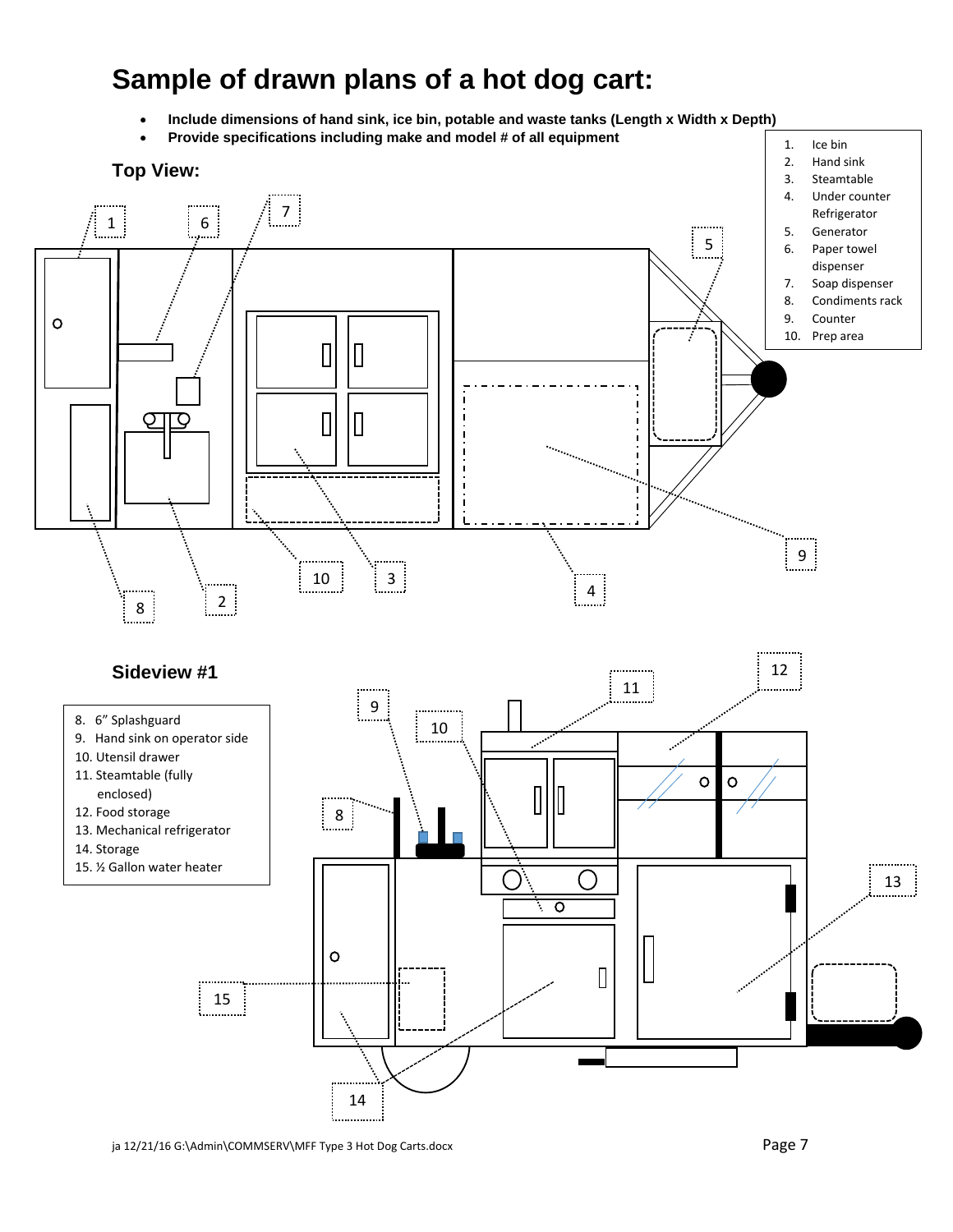## **Sample of drawn plans of a hot dog cart:**

**Include dimensions of hand sink, ice bin, potable and waste tanks (Length x Width x Depth)** 



 $\overline{\circ}$ ۱.

 $\Box$ 

 $\begin{bmatrix} 15 \\ \dots \end{bmatrix}$ 

14

. . . . . . . . . . . . <del>.</del>

 $\circ$